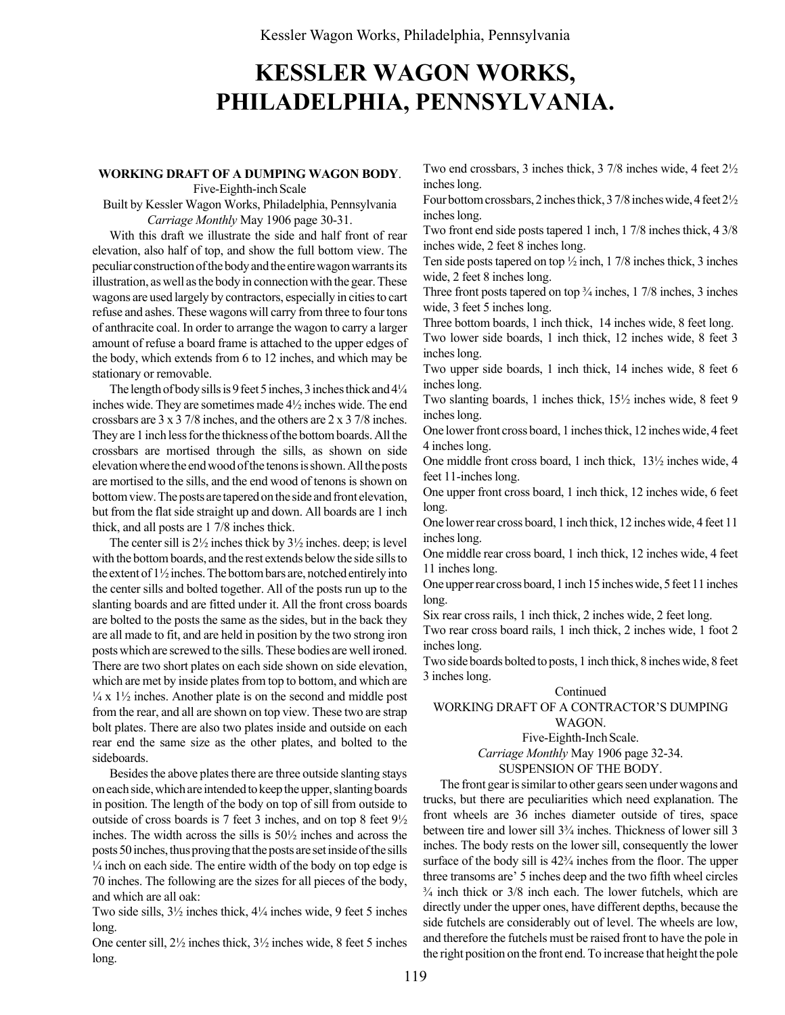# KESSLER WAGON WORKS, PHILADELPHIA, PENNSYLVANIA.

#### WORKING DRAFT OF A DUMPING WAGON BODY.

Five-Eighth-inch Scale

Built by Kessler Wagon Works, Philadelphia, Pennsylvania Carriage Monthly May 1906 page 30-31.

With this draft we illustrate the side and half front of rear elevation, also half of top, and show the full bottom view. The peculiar construction of the body and the entire wagon warrants its illustration, as well as the body in connection with the gear. These wagons are used largely by contractors, especially in cities to cart refuse and ashes. These wagons will carry from three to four tons of anthracite coal. In order to arrange the wagon to carry a larger amount of refuse a board frame is attached to the upper edges of the body, which extends from 6 to 12 inches, and which may be stationary or removable.

The length of body sills is 9 feet 5 inches, 3 inches thick and  $4\frac{1}{4}$ inches wide. They are sometimes made 4½ inches wide. The end crossbars are 3 x 3 7/8 inches, and the others are 2 x 3 7/8 inches. They are 1 inch less for the thickness of the bottom boards. All the crossbars are mortised through the sills, as shown on side elevation where the end wood of the tenons is shown. All the posts are mortised to the sills, and the end wood of tenons is shown on bottom view. The posts are tapered on the side and front elevation, but from the flat side straight up and down. All boards are 1 inch thick, and all posts are 1 7/8 inches thick.

The center sill is  $2\frac{1}{2}$  inches thick by  $3\frac{1}{2}$  inches. deep; is level with the bottom boards, and the rest extends below the side sills to the extent of 1½ inches. The bottom bars are, notched entirely into the center sills and bolted together. All of the posts run up to the slanting boards and are fitted under it. All the front cross boards are bolted to the posts the same as the sides, but in the back they are all made to fit, and are held in position by the two strong iron posts which are screwed to the sills. These bodies are well ironed. There are two short plates on each side shown on side elevation, which are met by inside plates from top to bottom, and which are  $\frac{1}{4}$  x  $\frac{1}{2}$  inches. Another plate is on the second and middle post from the rear, and all are shown on top view. These two are strap bolt plates. There are also two plates inside and outside on each rear end the same size as the other plates, and bolted to the sideboards.

Besides the above plates there are three outside slanting stays on each side, which are intended to keep the upper, slanting boards in position. The length of the body on top of sill from outside to outside of cross boards is 7 feet 3 inches, and on top 8 feet 9½ inches. The width across the sills is 50½ inches and across the posts 50 inches, thus proving that the posts are set inside of the sills  $\frac{1}{4}$  inch on each side. The entire width of the body on top edge is 70 inches. The following are the sizes for all pieces of the body, and which are all oak:

Two side sills,  $3\frac{1}{2}$  inches thick,  $4\frac{1}{4}$  inches wide, 9 feet 5 inches long.

One center sill, 2½ inches thick, 3½ inches wide, 8 feet 5 inches long.

Two end crossbars, 3 inches thick, 3 7/8 inches wide, 4 feet 2½ inches long.

Four bottom crossbars, 2 inches thick, 3 7/8 inches wide, 4 feet 2½ inches long.

Two front end side posts tapered 1 inch, 1 7/8 inches thick, 4 3/8 inches wide, 2 feet 8 inches long.

Ten side posts tapered on top  $\frac{1}{2}$  inch, 1 7/8 inches thick, 3 inches wide, 2 feet 8 inches long.

Three front posts tapered on top  $\frac{3}{4}$  inches, 1 7/8 inches, 3 inches wide, 3 feet 5 inches long.

Three bottom boards, 1 inch thick, 14 inches wide, 8 feet long. Two lower side boards, 1 inch thick, 12 inches wide, 8 feet 3 inches long.

Two upper side boards, 1 inch thick, 14 inches wide, 8 feet 6 inches long.

Two slanting boards, 1 inches thick, 15½ inches wide, 8 feet 9 inches long.

One lower front cross board, 1 inches thick, 12 inches wide, 4 feet 4 inches long.

One middle front cross board, 1 inch thick, 13½ inches wide, 4 feet 11-inches long.

One upper front cross board, 1 inch thick, 12 inches wide, 6 feet long.

One lower rear cross board, 1 inch thick, 12 inches wide, 4 feet 11 inches long.

One middle rear cross board, 1 inch thick, 12 inches wide, 4 feet 11 inches long.

One upper rear cross board, 1 inch 15 inches wide, 5 feet 11 inches long.

Six rear cross rails, 1 inch thick, 2 inches wide, 2 feet long.

Two rear cross board rails, 1 inch thick, 2 inches wide, 1 foot 2 inches long.

Two side boards bolted to posts, 1 inch thick, 8 inches wide, 8 feet 3 inches long.

#### Continued

## WORKING DRAFT OF A CONTRACTOR'S DUMPING WAGON.

Five-Eighth-Inch Scale. Carriage Monthly May 1906 page 32-34. SUSPENSION OF THE BODY.

The front gear is similar to other gears seen under wagons and trucks, but there are peculiarities which need explanation. The front wheels are 36 inches diameter outside of tires, space between tire and lower sill  $3<sup>3</sup>/<sub>4</sub>$  inches. Thickness of lower sill 3 inches. The body rests on the lower sill, consequently the lower surface of the body sill is  $42\frac{3}{4}$  inches from the floor. The upper three transoms are<sup>3</sup> 5 inches deep and the two fifth wheel circles  $\frac{3}{4}$  inch thick or  $\frac{3}{8}$  inch each. The lower futchels, which are directly under the upper ones, have different depths, because the side futchels are considerably out of level. The wheels are low, and therefore the futchels must be raised front to have the pole in the right position on the front end. To increase that height the pole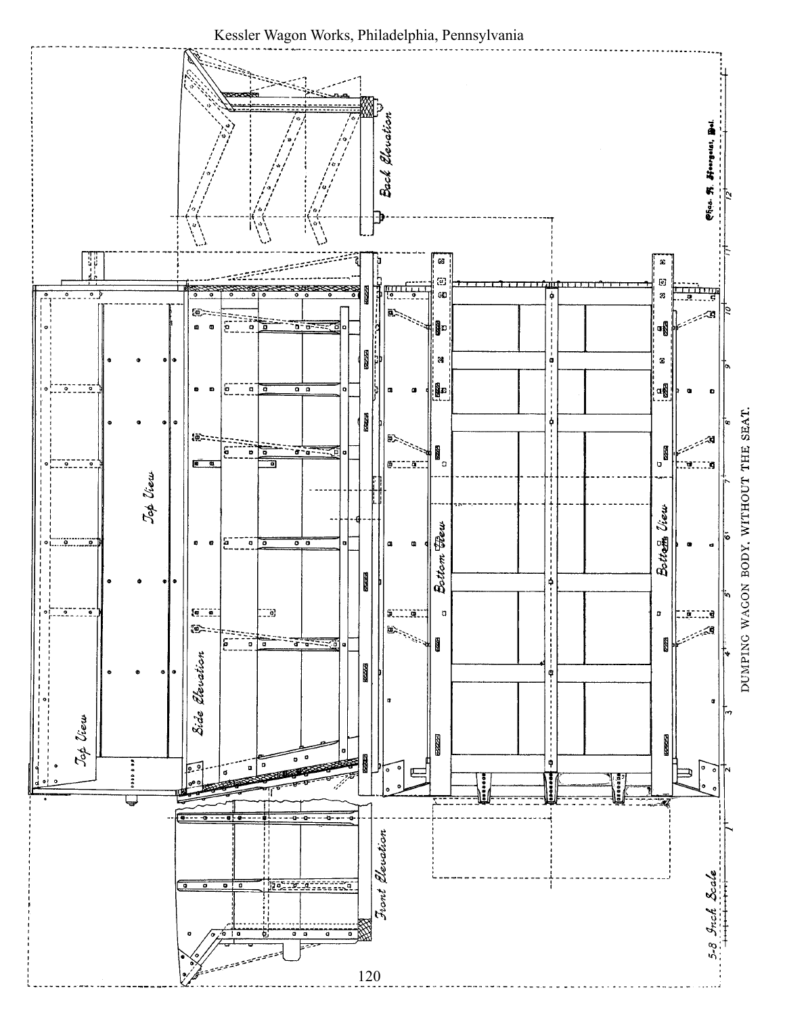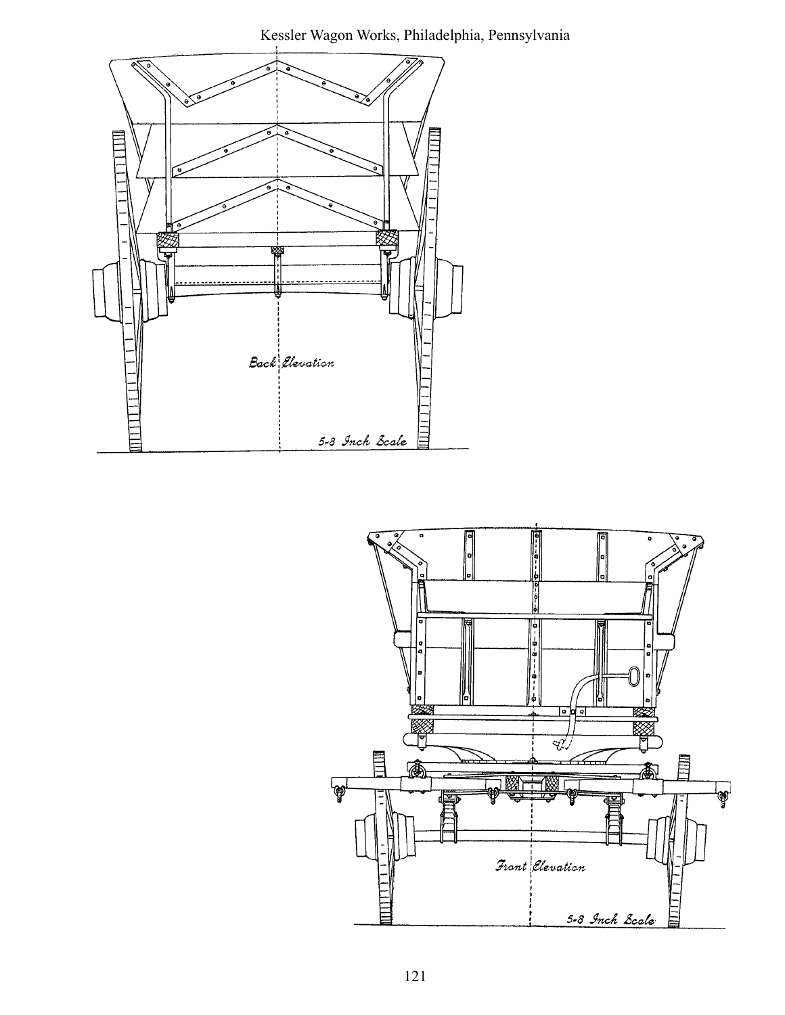Kessler Wagon Works, Philadelphia, Pennsylvania



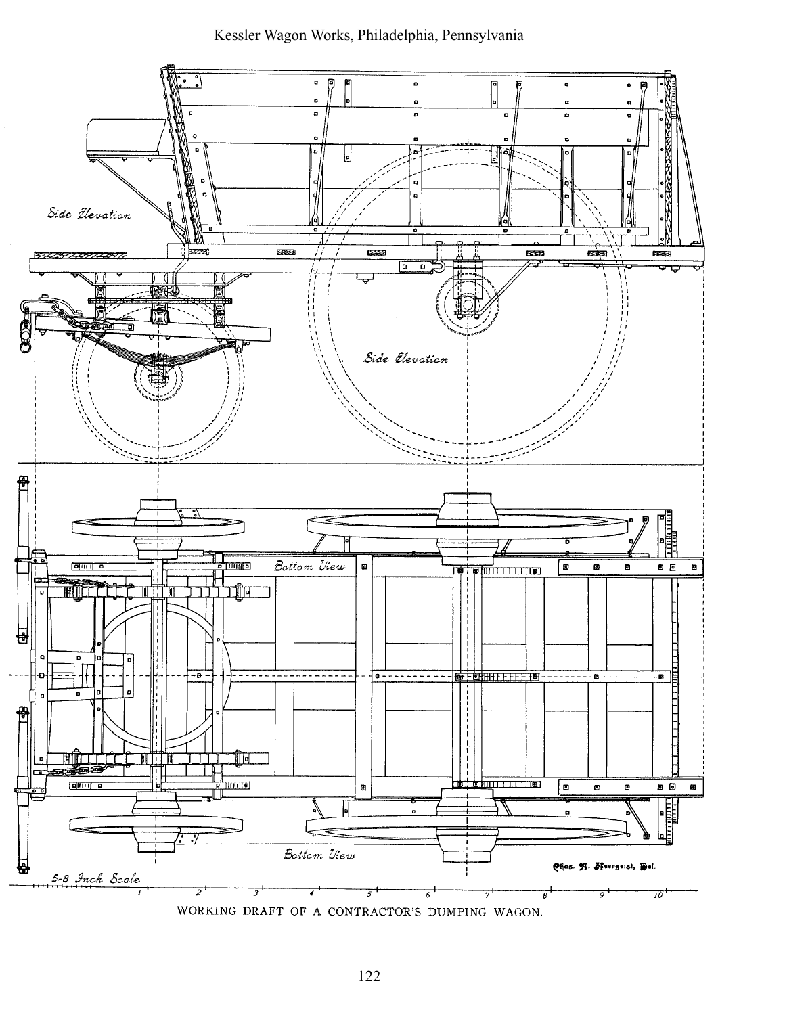# Kessler Wagon Works, Philadelphia, Pennsylvania